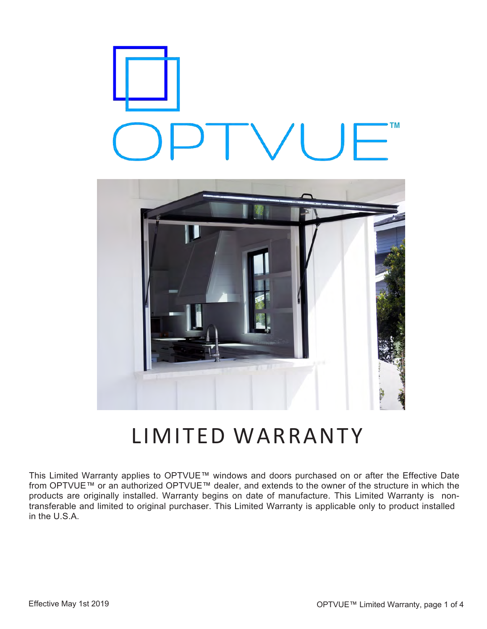



# LIMITED WARRANTY

This Limited Warranty applies to OPTVUE™ windows and doors purchased on or after the Effective Date from OPTVUE™ or an authorized OPTVUE™ dealer, and extends to the owner of the structure in which the products are originally installed. Warranty begins on date of manufacture. This Limited Warranty is nontransferable and limited to original purchaser. This Limited Warranty is applicable only to product installed in the U.S.A.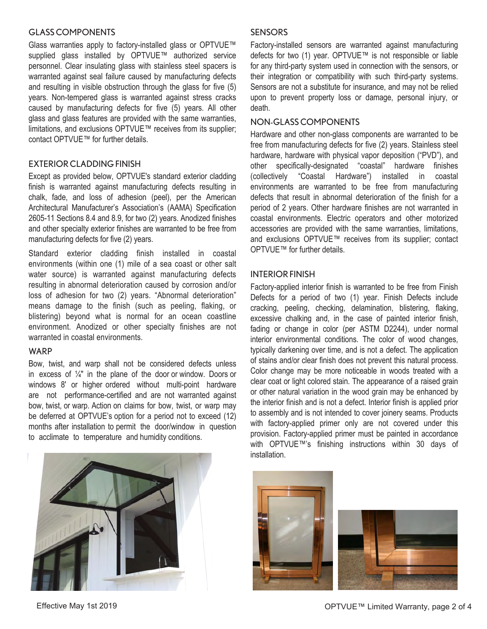#### GLASS COMPONENTS

Glass warranties apply to factory-installed glass or OPTVUE™ supplied glass installed by OPTVUE™ authorized service personnel. Clear insulating glass with stainless steel spacers is warranted against seal failure caused by manufacturing defects and resulting in visible obstruction through the glass for five (5) years. Non-tempered glass is warranted against stress cracks caused by manufacturing defects for five (5) years. All other glass and glass features are provided with the same warranties, limitations, and exclusions OPTVUE™ receives from its supplier; contact OPTVUE™ for further details.

## EXTERIOR CLADDING FINISH

Except as provided below, OPTVUE's standard exterior cladding finish is warranted against manufacturing defects resulting in chalk, fade, and loss of adhesion (peel), per the American Architectural Manufacturer's Association's (AAMA) Specification 2605-11 Sections 8.4 and 8.9, for two (2) years. Anodized finishes and other specialty exterior finishes are warranted to be free from manufacturing defects for five (2) years.

Standard exterior cladding finish installed in coastal environments (within one (1) mile of a sea coast or other salt water source) is warranted against manufacturing defects resulting in abnormal deterioration caused by corrosion and/or loss of adhesion for two (2) years. "Abnormal deterioration" means damage to the finish (such as peeling, flaking, or blistering) beyond what is normal for an ocean coastline environment. Anodized or other specialty finishes are not warranted in coastal environments.

#### WARP

Bow, twist, and warp shall not be considered defects unless in excess of  $\frac{1}{4}$ " in the plane of the door or window. Doors or windows 8' or higher ordered without multi-point hardware are not performance-certified and are not warranted against bow, twist, or warp. Action on claims for bow, twist, or warp may be deferred at OPTVUE's option for a period not to exceed (12) months after installation to permit the door/window in question to acclimate to temperature and humidity conditions.

# **SENSORS**

Factory-installed sensors are warranted against manufacturing defects for two (1) year. OPTVUE™ is not responsible or liable for any third-party system used in connection with the sensors, or their integration or compatibility with such third-party systems. Sensors are not a substitute for insurance, and may not be relied upon to prevent property loss or damage, personal injury, or death.

# NON-GLASS COMPONENTS

Hardware and other non-glass components are warranted to be free from manufacturing defects for five (2) years. Stainless steel hardware, hardware with physical vapor deposition ("PVD"), and other specifically-designated "coastal" hardware finishes (collectively "Coastal Hardware") installed in coastal environments are warranted to be free from manufacturing defects that result in abnormal deterioration of the finish for a period of 2 years. Other hardware finishes are not warranted in coastal environments. Electric operators and other motorized accessories are provided with the same warranties, limitations, and exclusions OPTVUE™ receives from its supplier; contact OPTVUE™ for further details.

#### INTERIOR FINISH

Factory-applied interior finish is warranted to be free from Finish Defects for a period of two (1) year. Finish Defects include cracking, peeling, checking, delamination, blistering, flaking, excessive chalking and, in the case of painted interior finish, fading or change in color (per ASTM D2244), under normal interior environmental conditions. The color of wood changes, typically darkening over time, and is not a defect. The application of stains and/or clear finish does not prevent this natural process. Color change may be more noticeable in woods treated with a clear coat or light colored stain. The appearance of a raised grain or other natural variation in the wood grain may be enhanced by the interior finish and is not a defect. Interior finish is applied prior to assembly and is not intended to cover joinery seams. Products with factory-applied primer only are not covered under this provision. Factory-applied primer must be painted in accordance with OPTVUE™'s finishing instructions within 30 days of installation.





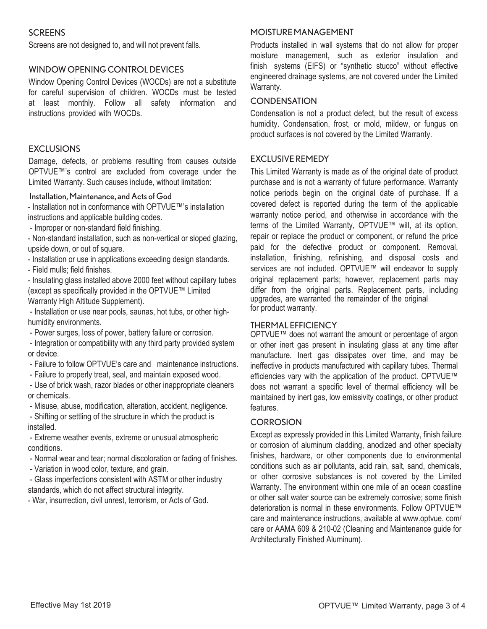# **SCREENS**

Screens are not designed to, and will not prevent falls.

## WINDOW OPENING CONTROL DEVICES

Window Opening Control Devices (WOCDs) are not a substitute for careful supervision of children. WOCDs must be tested at least monthly. Follow all safety information and instructions provided with WOCDs.

## EXCLUSIONS

Damage, defects, or problems resulting from causes outside OPTVUE™'s control are excluded from coverage under the Limited Warranty. Such causes include, without limitation:

#### Installation, Maintenance, and Acts of God

- Installation not in conformance with OPTVUE™'s installation instructions and applicable building codes.

- Improper or non-standard field finishing.

- Non-standard installation, such as non-vertical or sloped glazing, upside down, or out of square.

- Installation or use in applications exceeding design standards.
- Field mulls; field finishes.

- Insulating glass installed above 2000 feet without capillary tubes (except as specifically provided in the OPTVUE™ Limited Warranty High Altitude Supplement).

- Installation or use near pools, saunas, hot tubs, or other highhumidity environments.

- Power surges, loss of power, battery failure or corrosion.

- Integration or compatibility with any third party provided system or device.

- Failure to follow OPTVUE's care and maintenance instructions.
- Failure to properly treat, seal, and maintain exposed wood.

- Use of brick wash, razor blades or other inappropriate cleaners or chemicals.

- Misuse, abuse, modification, alteration, accident, negligence.

- Shifting or settling of the structure in which the product is installed.

- Extreme weather events, extreme or unusual atmospheric conditions.

- Normal wear and tear; normal discoloration or fading of finishes.

- Variation in wood color, texture, and grain.

- Glass imperfections consistent with ASTM or other industry standards, which do not affect structural integrity.

- War, insurrection, civil unrest, terrorism, or Acts of God.

#### MOISTURE MANAGEMENT

Products installed in wall systems that do not allow for proper moisture management, such as exterior insulation and finish systems (EIFS) or "synthetic stucco" without effective engineered drainage systems, are not covered under the Limited Warranty.

#### **CONDENSATION**

Condensation is not a product defect, but the result of excess humidity. Condensation, frost, or mold, mildew, or fungus on product surfaces is not covered by the Limited Warranty.

## **EXCLUSIVE REMEDY**

This Limited Warranty is made as of the original date of product purchase and is not a warranty of future performance. Warranty notice periods begin on the original date of purchase. If a covered defect is reported during the term of the applicable warranty notice period, and otherwise in accordance with the terms of the Limited Warranty, OPTVUE™ will, at its option, repair or replace the product or component, or refund the price paid for the defective product or component. Removal, installation, finishing, refinishing, and disposal costs and services are not included. OPTVUE™ will endeavor to supply original replacement parts; however, replacement parts may differ from the original parts. Replacement parts, including upgrades, are warranted the remainder of the original for product warranty.

#### THERMAL EFFICIENCY

OPTVUE™ does not warrant the amount or percentage of argon or other inert gas present in insulating glass at any time after manufacture. Inert gas dissipates over time, and may be ineffective in products manufactured with capillary tubes. Thermal efficiencies vary with the application of the product. OPTVUE™ does not warrant a specific level of thermal efficiency will be maintained by inert gas, low emissivity coatings, or other product features.

## **CORROSION**

Except as expressly provided in this Limited Warranty, finish failure or corrosion of aluminum cladding, anodized and other specialty finishes, hardware, or other components due to environmental conditions such as air pollutants, acid rain, salt, sand, chemicals, or other corrosive substances is not covered by the Limited Warranty. The environment within one mile of an ocean coastline or other salt water source can be extremely corrosive; some finish deterioration is normal in these environments. Follow OPTVUE™ care and maintenance instructions, available at www.optvue. com/ care or AAMA 609 & 210-02 (Cleaning and Maintenance guide for Architecturally Finished Aluminum).